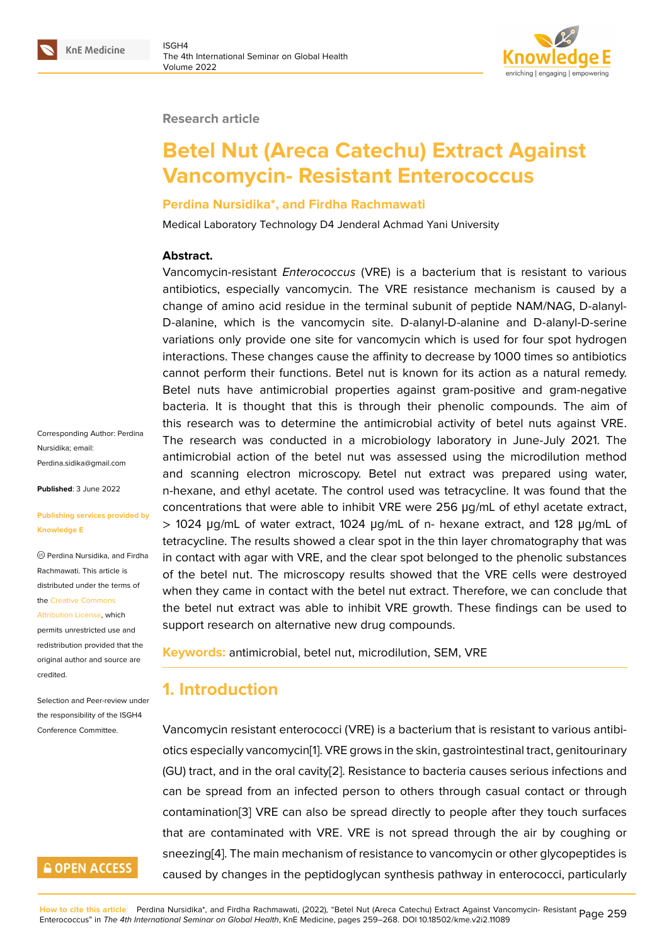#### **Research article**

# **Betel Nut (Areca Catechu) Extract Against Vancomycin- Resistant Enterococcus**

#### **Perdina Nursidika\*, and Firdha Rachmawati**

Medical Laboratory Technology D4 Jenderal Achmad Yani University

#### **Abstract.**

Vancomycin-resistant *Enterococcus* (VRE) is a bacterium that is resistant to various antibiotics, especially vancomycin. The VRE resistance mechanism is caused by a change of amino acid residue in the terminal subunit of peptide NAM/NAG, D-alanyl-D-alanine, which is the vancomycin site. D-alanyl-D-alanine and D-alanyl-D-serine variations only provide one site for vancomycin which is used for four spot hydrogen interactions. These changes cause the affinity to decrease by 1000 times so antibiotics cannot perform their functions. Betel nut is known for its action as a natural remedy. Betel nuts have antimicrobial properties against gram-positive and gram-negative bacteria. It is thought that this is through their phenolic compounds. The aim of this research was to determine the antimicrobial activity of betel nuts against VRE. The research was conducted in a microbiology laboratory in June-July 2021. The antimicrobial action of the betel nut was assessed using the microdilution method and scanning electron microscopy. Betel nut extract was prepared using water, n-hexane, and ethyl acetate. The control used was tetracycline. It was found that the concentrations that were able to inhibit VRE were 256 μg/mL of ethyl acetate extract, > 1024 μg/mL of water extract, 1024 μg/mL of n- hexane extract, and 128 μg/mL of tetracycline. The results showed a clear spot in the thin layer chromatography that was in contact with agar with VRE, and the clear spot belonged to the phenolic substances of the betel nut. The microscopy results showed that the VRE cells were destroyed when they came in contact with the betel nut extract. Therefore, we can conclude that the betel nut extract was able to inhibit VRE growth. These findings can be used to support research on alternative new drug compounds.

**Keywords:** antimicrobial, betel nut, microdilution, SEM, VRE

### **1. Introduction**

Vancomycin resistant enterococci (VRE) is a bacterium that is resistant to various antibiotics especially vancomycin[1]. VRE grows in the skin, gastrointestinal tract, genitourinary (GU) tract, and in the oral cavity[2]. Resistance to bacteria causes serious infections and can be spread from an infected person to others through casual contact or through contamination[3] VRE can [als](#page-6-0)o be spread directly to people after they touch surfaces that are contaminated with VR[E](#page-6-1). VRE is not spread through the air by coughing or sneezing[4]. The main mechanism of resistance to vancomycin or other glycopeptides is caused by cha[ng](#page-7-0)es in the peptidoglycan synthesis pathway in enterococci, particularly

Corresponding Author: Perdina Nursidika; email: Perdina.sidika@gmail.com

**Published**: 3 June 2022

#### **[Publishing services provid](mailto:Perdina.sidika@gmail.com)ed by Knowledge E**

Perdina Nursidika, and Firdha Rachmawati. This article is distributed under the terms of the Creative Commons

Attribution License, which permits unrestricted use and redistribution provided that the orig[inal author and sou](https://creativecommons.org/licenses/by/4.0/)rce are [credited.](https://creativecommons.org/licenses/by/4.0/)

Selection and Peer-review under the responsibility of the ISGH4 Conference Committee.

### **GOPEN ACCESS**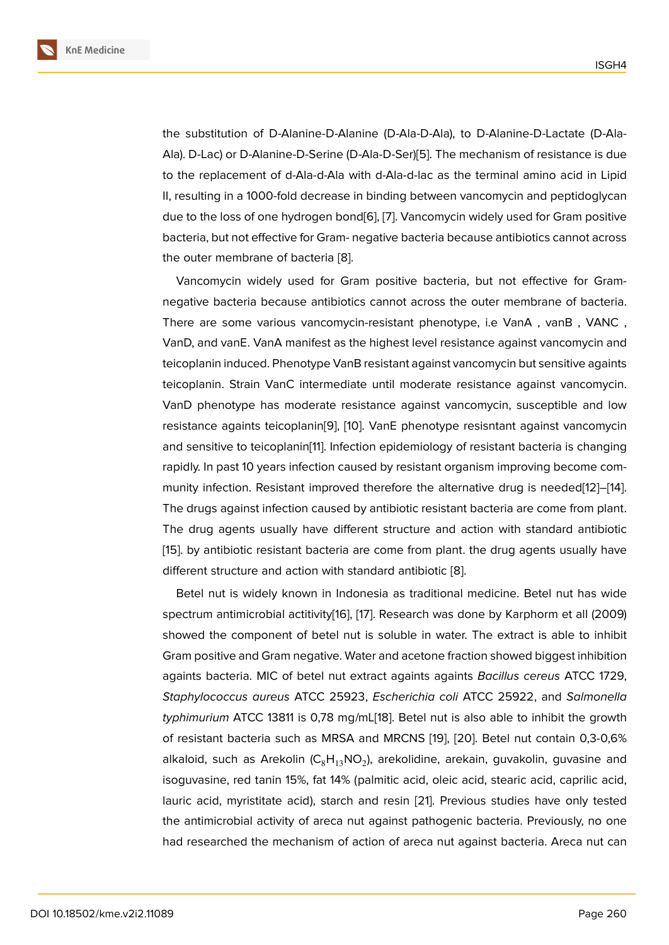the substitution of D-Alanine-D-Alanine (D-Ala-D-Ala), to D-Alanine-D-Lactate (D-Ala-Ala). D-Lac) or D-Alanine-D-Serine (D-Ala-D-Ser)[5]. The mechanism of resistance is due to the replacement of d-Ala-d-Ala with d-Ala-d-lac as the terminal amino acid in Lipid II, resulting in a 1000-fold decrease in binding between vancomycin and peptidoglycan due to the loss of one hydrogen bond[6], [7]. Va[nc](#page-7-2)omycin widely used for Gram positive bacteria, but not effective for Gram- negative bacteria because antibiotics cannot across the outer membrane of bacteria [8].

Vancomycin widely used for Gra[m](#page-7-3) p[os](#page-7-4)itive bacteria, but not effective for Gramnegative bacteria because antibiotics cannot across the outer membrane of bacteria. There are some various vanco[my](#page-7-5)cin-resistant phenotype, i.e VanA , vanB , VANC , VanD, and vanE. VanA manifest as the highest level resistance against vancomycin and teicoplanin induced. Phenotype VanB resistant against vancomycin but sensitive againts teicoplanin. Strain VanC intermediate until moderate resistance against vancomycin. VanD phenotype has moderate resistance against vancomycin, susceptible and low resistance againts teicoplanin[9], [10]. VanE phenotype resisntant against vancomycin and sensitive to teicoplanin[11]. Infection epidemiology of resistant bacteria is changing rapidly. In past 10 years infection caused by resistant organism improving become community infection. Resistant im[pro](#page-7-6)v[ed](#page-7-7) therefore the alternative drug is needed[12]–[14]. The drugs against infection [ca](#page-7-8)used by antibiotic resistant bacteria are come from plant. The drug agents usually have different structure and action with standard antibiotic [15]. by antibiotic resistant bacteria are come from plant. the drug agents usu[ally](#page-7-9) h[ave](#page-7-10) different structure and action with standard antibiotic [8].

Betel nut is widely known in Indonesia as traditional medicine. Betel nut has wide [spe](#page-7-11)ctrum antimicrobial actitivity[16], [17]. Research was done by Karphorm et all (2009) showed the component of betel nut is soluble in wa[te](#page-7-5)r. The extract is able to inhibit Gram positive and Gram negative. Water and acetone fraction showed biggest inhibition againts bacteria. MIC of betel n[ut](#page-7-12) e[xtr](#page-8-0)act againts againts *Bacillus cereus* ATCC 1729, *Staphylococcus aureus* ATCC 25923, *Escherichia coli* ATCC 25922, and *Salmonella typhimurium* ATCC 13811 is 0,78 mg/mL[18]. Betel nut is also able to inhibit the growth of resistant bacteria such as MRSA and MRCNS [19], [20]. Betel nut contain 0,3-0,6% alkaloid, such as Arekolin (C $_8{\sf H}_{13}$ NO $_2$ ), arekolidine, arekain, guvakolin, guvasine and isoguvasine, red tanin 15%, fat 14% (pal[mit](#page-8-1)ic acid, oleic acid, stearic acid, caprilic acid, lauric acid, myristitate acid), starch and resin [21][. P](#page-8-2)r[evio](#page-8-3)us studies have only tested the antimicrobial activity of areca nut against pathogenic bacteria. Previously, no one had researched the mechanism of action of areca nut against bacteria. Areca nut can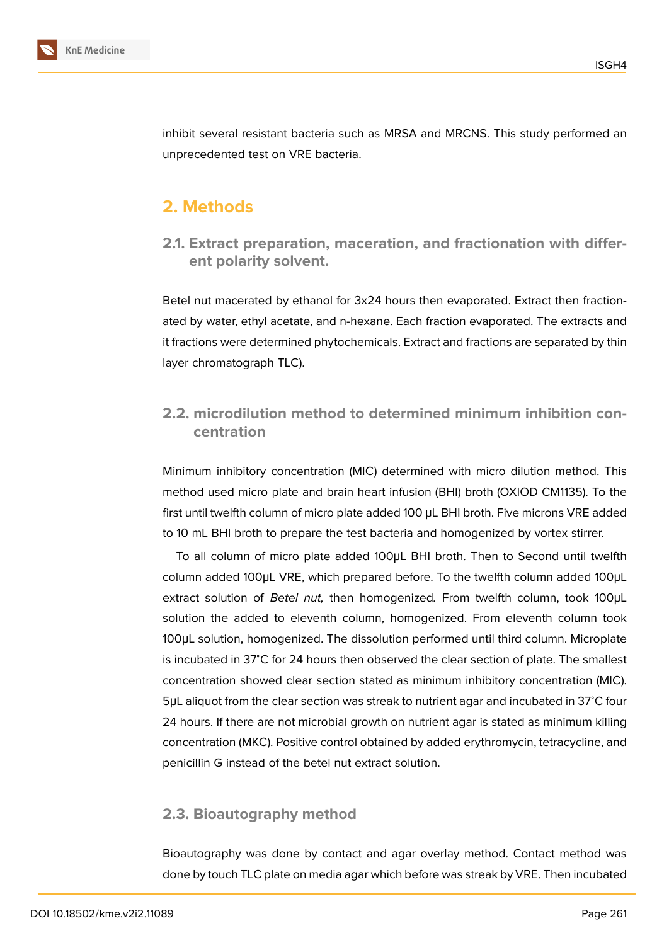

inhibit several resistant bacteria such as MRSA and MRCNS. This study performed an unprecedented test on VRE bacteria.

## **2. Methods**

**2.1. Extract preparation, maceration, and fractionation with different polarity solvent.**

Betel nut macerated by ethanol for 3x24 hours then evaporated. Extract then fractionated by water, ethyl acetate, and n-hexane. Each fraction evaporated. The extracts and it fractions were determined phytochemicals. Extract and fractions are separated by thin layer chromatograph TLC).

### **2.2. microdilution method to determined minimum inhibition concentration**

Minimum inhibitory concentration (MIC) determined with micro dilution method. This method used micro plate and brain heart infusion (BHI) broth (OXIOD CM1135). To the first until twelfth column of micro plate added 100 μL BHI broth. Five microns VRE added to 10 mL BHI broth to prepare the test bacteria and homogenized by vortex stirrer.

To all column of micro plate added 100μL BHI broth. Then to Second until twelfth column added 100μL VRE, which prepared before. To the twelfth column added 100μL extract solution of *Betel nut,* then homogenized*.* From twelfth column, took 100μL solution the added to eleventh column, homogenized. From eleventh column took 100μL solution, homogenized. The dissolution performed until third column. Microplate is incubated in 37<sup>∘</sup>C for 24 hours then observed the clear section of plate. The smallest concentration showed clear section stated as minimum inhibitory concentration (MIC). 5μL aliquot from the clear section was streak to nutrient agar and incubated in 37<sup>∘</sup>C four 24 hours. If there are not microbial growth on nutrient agar is stated as minimum killing concentration (MKC). Positive control obtained by added erythromycin, tetracycline, and penicillin G instead of the betel nut extract solution.

### **2.3. Bioautography method**

Bioautography was done by contact and agar overlay method. Contact method was done by touch TLC plate on media agar which before was streak by VRE. Then incubated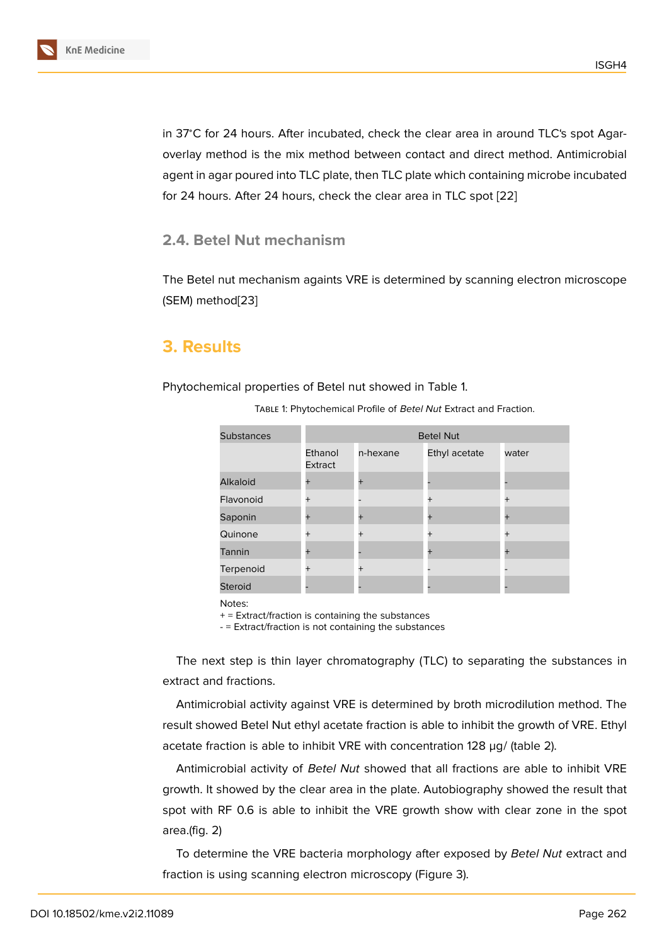in 37<sup>∘</sup>C for 24 hours. After incubated, check the clear area in around TLC's spot Agaroverlay method is the mix method between contact and direct method. Antimicrobial agent in agar poured into TLC plate, then TLC plate which containing microbe incubated for 24 hours. After 24 hours, check the clear area in TLC spot [22]

#### **2.4. Betel Nut mechanism**

The Betel nut mechanism againts VRE is determined by scanning electron microscope (SEM) method[23]

### **3. Result[s](#page-8-4)**

Phytochemical properties of Betel nut showed in Table 1.

| <b>Substances</b> | <b>Betel Nut</b>   |          |               |                |  |  |
|-------------------|--------------------|----------|---------------|----------------|--|--|
|                   | Ethanol<br>Extract | n-hexane | Ethyl acetate | water          |  |  |
| <b>Alkaloid</b>   |                    | $+$      |               |                |  |  |
| Flavonoid         |                    |          | $+$           | $+$            |  |  |
| Saponin           |                    | $+$      | $+$           | $\overline{+}$ |  |  |
| Quinone           | $\boldsymbol{+}$   | $^{+}$   | $+$           | $+$            |  |  |
| Tannin            |                    |          | $\ddot{}$     |                |  |  |
| Terpenoid         |                    | $^{+}$   |               |                |  |  |
| <b>Steroid</b>    |                    |          |               |                |  |  |

Table 1: Phytochemical Profile of *Betel Nut* Extract and Fraction.

Notes:

 $+$  = Extract/fraction is containing the substances

- = Extract/fraction is not containing the substances

The next step is thin layer chromatography (TLC) to separating the substances in extract and fractions.

Antimicrobial activity against VRE is determined by broth microdilution method. The result showed Betel Nut ethyl acetate fraction is able to inhibit the growth of VRE. Ethyl acetate fraction is able to inhibit VRE with concentration 128 µg/ (table 2).

Antimicrobial activity of *Betel Nut* showed that all fractions are able to inhibit VRE growth. It showed by the clear area in the plate. Autobiography showed the result that spot with RF 0.6 is able to inhibit the VRE growth show with clear zone in the spot area.(fig. 2)

To determine the VRE bacteria morphology after exposed by *Betel Nut* extract and fraction is using scanning electron microscopy (Figure 3).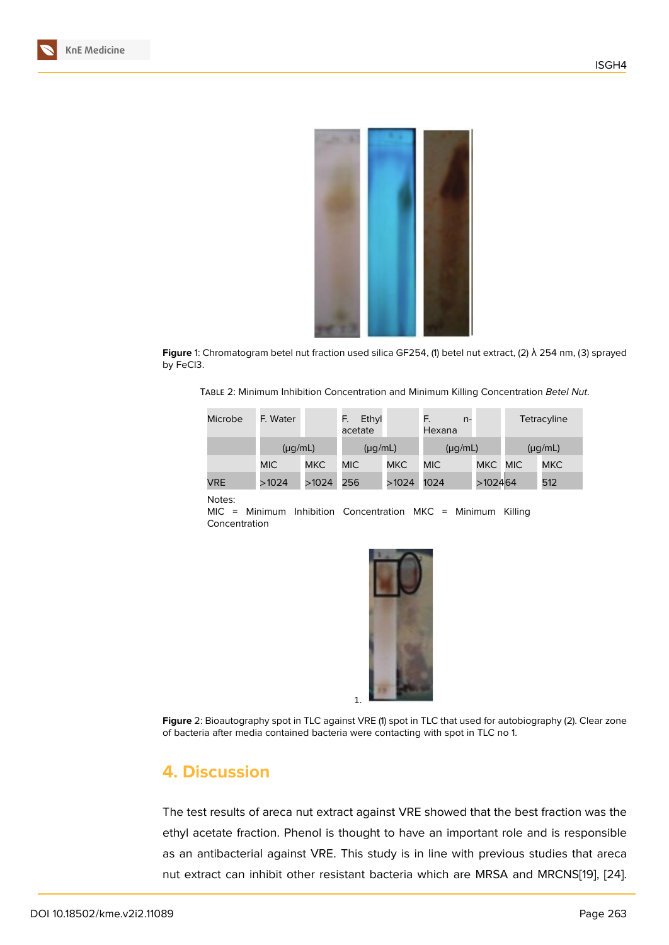

**Figure** 1: Chromatogram betel nut fraction used silica GF254, (1) betel nut extract, (2) λ 254 nm, (3) sprayed by FeCl3.

Table 2: Minimum Inhibition Concentration and Minimum Killing Concentration *Betel Nut*.

| Microbe    | F. Water     |            | Ethyl<br>F.<br>acetate |            | F.<br>$n-$<br>Hexana |            |              | Tetracyline |
|------------|--------------|------------|------------------------|------------|----------------------|------------|--------------|-------------|
|            | $(\mu g/mL)$ |            | $(\mu q/mL)$           |            | $(\mu g/mL)$         |            | $(\mu g/mL)$ |             |
|            | MIC.         | <b>MKC</b> | MIC.                   | <b>MKC</b> | <b>MIC</b>           | <b>MKC</b> | <b>MIC</b>   | <b>MKC</b>  |
| <b>VRE</b> | >1024        | >1024      | 256                    | >1024      | 1024                 | >102464    |              | 512         |

#### Notes:

MIC = Minimum Inhibition Concentration MKC = Minimum Killing Concentration



**Figure** 2: Bioautography spot in TLC against VRE (1) spot in TLC that used for autobiography (2). Clear zone of bacteria after media contained bacteria were contacting with spot in TLC no 1.

### **4. Discussion**

The test results of areca nut extract against VRE showed that the best fraction was the ethyl acetate fraction. Phenol is thought to have an important role and is responsible as an antibacterial against VRE. This study is in line with previous studies that areca nut extract can inhibit other resistant bacteria which are MRSA and MRCNS[19], [24].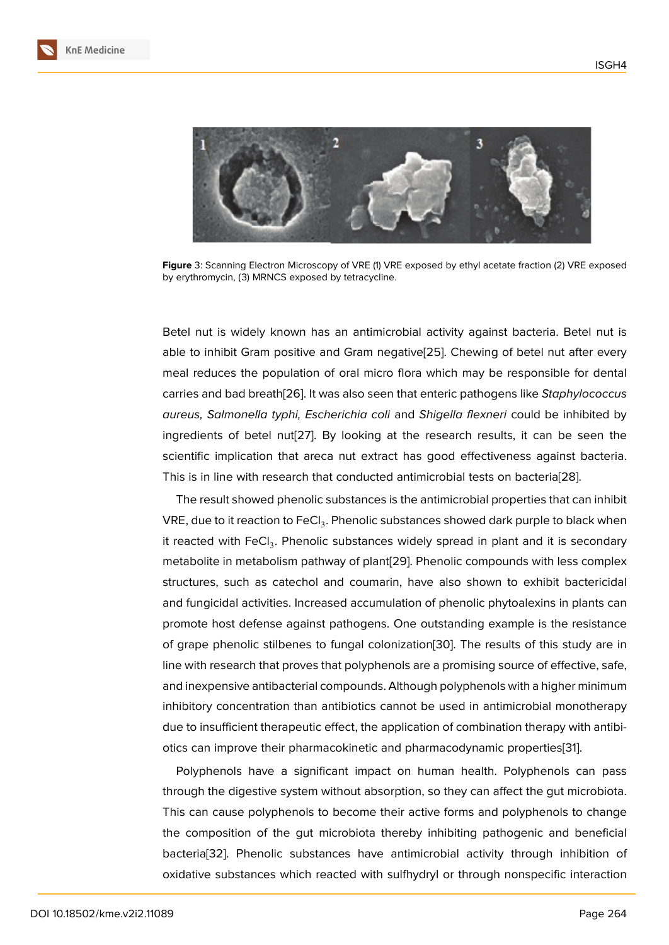

Figure 3: Scanning Electron Microscopy of VRE (1) VRE exposed by ethyl acetate fraction (2) VRE exposed by erythromycin, (3) MRNCS exposed by tetracycline.

Betel nut is widely known has an antimicrobial activity against bacteria. Betel nut is able to inhibit Gram positive and Gram negative[25]. Chewing of betel nut after every meal reduces the population of oral micro flora which may be responsible for dental carries and bad breath[26]. It was also seen that enteric pathogens like *Staphylococcus aureus, Salmonella typhi, Escherichia coli* and *S[hig](#page-8-5)ella flexneri* could be inhibited by ingredients of betel nut[27]. By looking at the research results, it can be seen the scientific implication t[hat](#page-9-0) areca nut extract has good effectiveness against bacteria. This is in line with research that conducted antimicrobial tests on bacteria[28].

The result showed ph[eno](#page-9-1)lic substances is the antimicrobial properties that can inhibit VRE, due to it reaction to FeCl $_3$ . Phenolic substances showed dark purple to black when it reacted with  $\mathsf{FeCl}_3$ . Phenolic substances widely spread in plant and it i[s s](#page-9-2)econdary metabolite in metabolism pathway of plant[29]. Phenolic compounds with less complex structures, such as catechol and coumarin, have also shown to exhibit bactericidal and fungicidal activities. Increased accumulation of phenolic phytoalexins in plants can promote host defense against pathogens. [On](#page-9-3)e outstanding example is the resistance of grape phenolic stilbenes to fungal colonization[30]. The results of this study are in line with research that proves that polyphenols are a promising source of effective, safe, and inexpensive antibacterial compounds. Although polyphenols with a higher minimum inhibitory concentration than antibiotics cannot be [us](#page-9-4)ed in antimicrobial monotherapy due to insufficient therapeutic effect, the application of combination therapy with antibiotics can improve their pharmacokinetic and pharmacodynamic properties[31].

Polyphenols have a significant impact on human health. Polyphenols can pass through the digestive system without absorption, so they can affect the gut microbiota. This can cause polyphenols to become their active forms and polyphenol[s to](#page-9-5) change the composition of the gut microbiota thereby inhibiting pathogenic and beneficial bacteria[32]. Phenolic substances have antimicrobial activity through inhibition of oxidative substances which reacted with sulfhydryl or through nonspecific interaction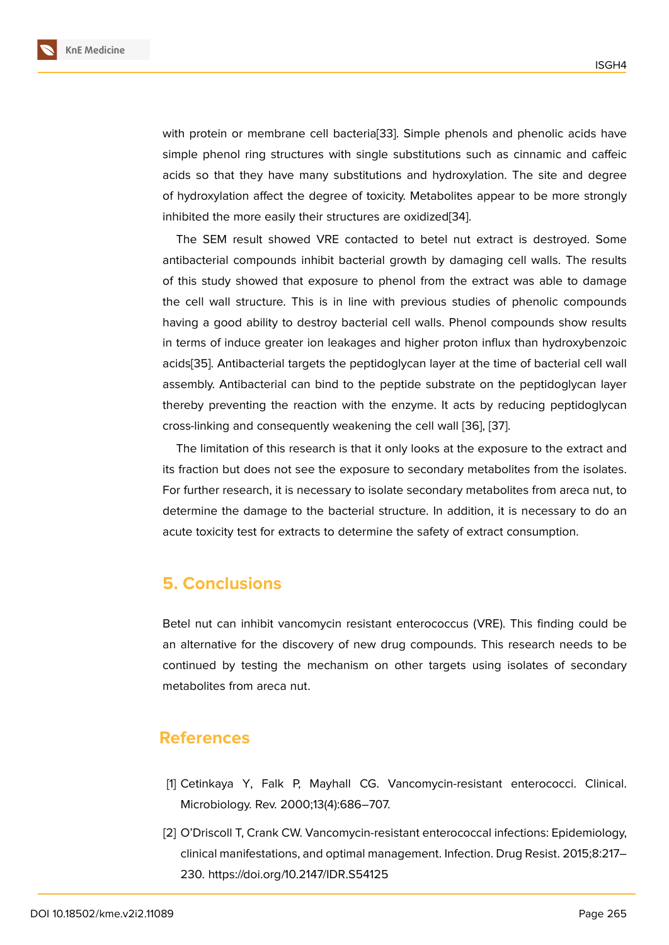with protein or membrane cell bacteria[33]. Simple phenols and phenolic acids have simple phenol ring structures with single substitutions such as cinnamic and caffeic acids so that they have many substitutions and hydroxylation. The site and degree of hydroxylation affect the degree of to[xici](#page-9-6)ty. Metabolites appear to be more strongly inhibited the more easily their structures are oxidized[34].

The SEM result showed VRE contacted to betel nut extract is destroyed. Some antibacterial compounds inhibit bacterial growth by damaging cell walls. The results of this study showed that exposure to phenol from [the](#page-9-7) extract was able to damage the cell wall structure. This is in line with previous studies of phenolic compounds having a good ability to destroy bacterial cell walls. Phenol compounds show results in terms of induce greater ion leakages and higher proton influx than hydroxybenzoic acids[35]. Antibacterial targets the peptidoglycan layer at the time of bacterial cell wall assembly. Antibacterial can bind to the peptide substrate on the peptidoglycan layer thereby preventing the reaction with the enzyme. It acts by reducing peptidoglycan cross[-link](#page-9-8)ing and consequently weakening the cell wall [36], [37].

The limitation of this research is that it only looks at the exposure to the extract and its fraction but does not see the exposure to secondary metabolites from the isolates. For further research, it is necessary to isolate secondary [me](#page-9-9)t[abo](#page-9-10)lites from areca nut, to determine the damage to the bacterial structure. In addition, it is necessary to do an acute toxicity test for extracts to determine the safety of extract consumption.

### **5. Conclusions**

Betel nut can inhibit vancomycin resistant enterococcus (VRE). This finding could be an alternative for the discovery of new drug compounds. This research needs to be continued by testing the mechanism on other targets using isolates of secondary metabolites from areca nut.

### **References**

- [1] Cetinkaya Y, Falk P, Mayhall CG. Vancomycin-resistant enterococci. Clinical. Microbiology. Rev. 2000;13(4):686–707.
- <span id="page-6-1"></span><span id="page-6-0"></span>[2] O'Driscoll T, Crank CW. Vancomycin-resistant enterococcal infections: Epidemiology, clinical manifestations, and optimal management. Infection. Drug Resist. 2015;8:217– 230. https://doi.org/10.2147/IDR.S54125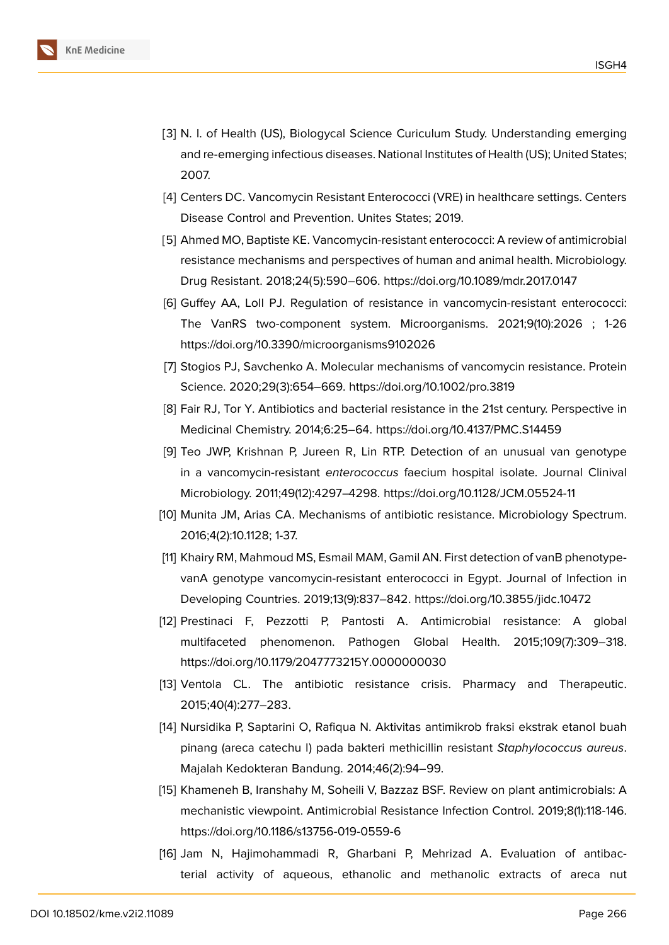

- <span id="page-7-0"></span>[3] N. I. of Health (US), Biologycal Science Curiculum Study. Understanding emerging and re-emerging infectious diseases. National Institutes of Health (US); United States; 2007.
- <span id="page-7-1"></span>[4] Centers DC. Vancomycin Resistant Enterococci (VRE) in healthcare settings. Centers Disease Control and Prevention. Unites States; 2019.
- <span id="page-7-2"></span>[5] Ahmed MO, Baptiste KE. Vancomycin-resistant enterococci: A review of antimicrobial resistance mechanisms and perspectives of human and animal health. Microbiology. Drug Resistant. 2018;24(5):590–606. https://doi.org/10.1089/mdr.2017.0147
- <span id="page-7-3"></span>[6] Guffey AA, Loll PJ. Regulation of resistance in vancomycin-resistant enterococci: The VanRS two-component system. Microorganisms. 2021;9(10):2026 ; 1-26 https://doi.org/10.3390/microorganisms9102026
- <span id="page-7-4"></span>[7] Stogios PJ, Savchenko A. Molecular mechanisms of vancomycin resistance. Protein Science. 2020;29(3):654–669. https://doi.org/10.1002/pro.3819
- <span id="page-7-5"></span>[8] Fair RJ, Tor Y. Antibiotics and bacterial resistance in the 21st century. Perspective in Medicinal Chemistry. 2014;6:25–64. https://doi.org/10.4137/PMC.S14459
- <span id="page-7-6"></span>[9] Teo JWP, Krishnan P, Jureen R, Lin RTP. Detection of an unusual van genotype in a vancomycin-resistant *enterococcus* faecium hospital isolate. Journal Clinival Microbiology. 2011;49(12):4297–4298. https://doi.org/10.1128/JCM.05524-11
- <span id="page-7-7"></span>[10] Munita JM, Arias CA. Mechanisms of antibiotic resistance. Microbiology Spectrum. 2016;4(2):10.1128; 1-37.
- <span id="page-7-8"></span>[11] Khairy RM, Mahmoud MS, Esmail MAM, Gamil AN. First detection of vanB phenotypevanA genotype vancomycin-resistant enterococci in Egypt. Journal of Infection in Developing Countries. 2019;13(9):837–842. https://doi.org/10.3855/jidc.10472
- <span id="page-7-9"></span>[12] Prestinaci F, Pezzotti P, Pantosti A. Antimicrobial resistance: A global multifaceted phenomenon. Pathogen Global Health. 2015;109(7):309–318. https://doi.org/10.1179/2047773215Y.0000000030
- [13] Ventola CL. The antibiotic resistance crisis. Pharmacy and Therapeutic. 2015;40(4):277–283.
- <span id="page-7-10"></span>[14] Nursidika P, Saptarini O, Rafiqua N. Aktivitas antimikrob fraksi ekstrak etanol buah pinang (areca catechu l) pada bakteri methicillin resistant *Staphylococcus aureus*. Majalah Kedokteran Bandung. 2014;46(2):94–99.
- <span id="page-7-11"></span>[15] Khameneh B, Iranshahy M, Soheili V, Bazzaz BSF. Review on plant antimicrobials: A mechanistic viewpoint. Antimicrobial Resistance Infection Control. 2019;8(1):118-146. https://doi.org/10.1186/s13756-019-0559-6
- <span id="page-7-12"></span>[16] Jam N, Hajimohammadi R, Gharbani P, Mehrizad A. Evaluation of antibacterial activity of aqueous, ethanolic and methanolic extracts of areca nut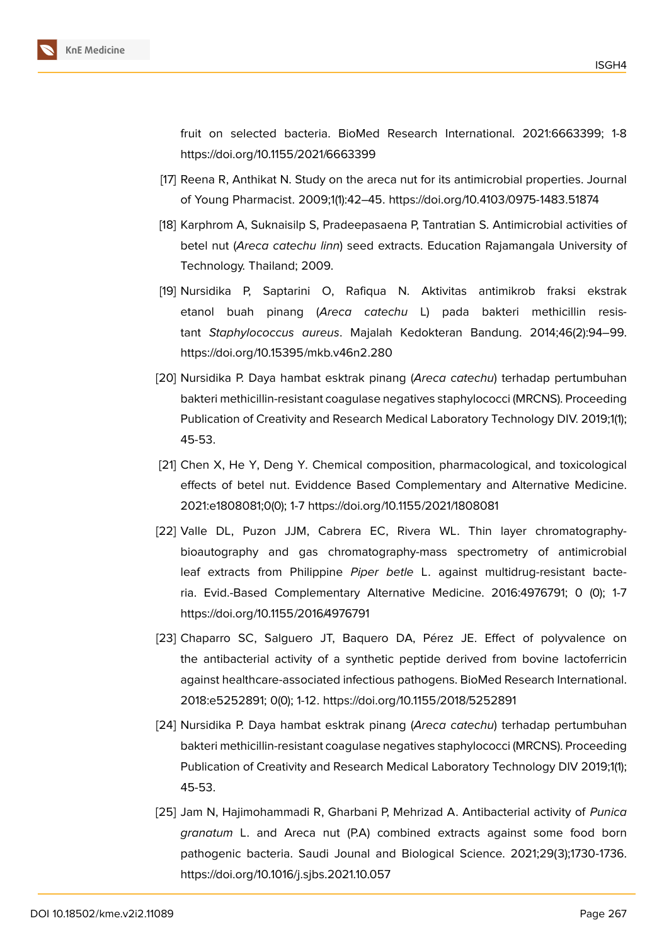

fruit on selected bacteria. BioMed Research International. 2021:6663399; 1-8 https://doi.org/10.1155/2021/6663399

- <span id="page-8-0"></span>[17] Reena R, Anthikat N. Study on the areca nut for its antimicrobial properties. Journal of Young Pharmacist. 2009;1(1):42–45. https://doi.org/10.4103/0975-1483.51874
- <span id="page-8-1"></span>[18] Karphrom A, Suknaisilp S, Pradeepasaena P, Tantratian S. Antimicrobial activities of betel nut (*Areca catechu linn*) seed extracts. Education Rajamangala University of Technology. Thailand; 2009.
- <span id="page-8-2"></span>[19] Nursidika P, Saptarini O, Rafiqua N. Aktivitas antimikrob fraksi ekstrak etanol buah pinang (*Areca catechu* L) pada bakteri methicillin resistant *Staphylococcus aureus*. Majalah Kedokteran Bandung. 2014;46(2):94–99. https://doi.org/10.15395/mkb.v46n2.280
- <span id="page-8-3"></span>[20] Nursidika P. Daya hambat esktrak pinang (*Areca catechu*) terhadap pertumbuhan bakteri methicillin-resistant coagulase negatives staphylococci (MRCNS). Proceeding Publication of Creativity and Research Medical Laboratory Technology DIV. 2019;1(1); 45-53.
- [21] Chen X, He Y, Deng Y. Chemical composition, pharmacological, and toxicological effects of betel nut. Eviddence Based Complementary and Alternative Medicine. 2021:e1808081;0(0); 1-7 https://doi.org/10.1155/2021/1808081
- [22] Valle DL, Puzon JJM, Cabrera EC, Rivera WL. Thin layer chromatographybioautography and gas chromatography-mass spectrometry of antimicrobial leaf extracts from Philippine *Piper betle* L. against multidrug-resistant bacteria. Evid.-Based Complementary Alternative Medicine. 2016:4976791; 0 (0); 1-7 https://doi.org/10.1155/2016/4976791
- <span id="page-8-4"></span>[23] Chaparro SC, Salguero JT, Baquero DA, Pérez JE. Effect of polyvalence on the antibacterial activity of a synthetic peptide derived from bovine lactoferricin against healthcare-associated infectious pathogens. BioMed Research International. 2018:e5252891; 0(0); 1-12. https://doi.org/10.1155/2018/5252891
- [24] Nursidika P. Daya hambat esktrak pinang (*Areca catechu*) terhadap pertumbuhan bakteri methicillin-resistant coagulase negatives staphylococci (MRCNS). Proceeding Publication of Creativity and Research Medical Laboratory Technology DIV 2019;1(1); 45-53.
- <span id="page-8-5"></span>[25] Jam N, Hajimohammadi R, Gharbani P, Mehrizad A. Antibacterial activity of *Punica granatum* L. and Areca nut (P.A) combined extracts against some food born pathogenic bacteria. Saudi Jounal and Biological Science. 2021;29(3);1730-1736. https://doi.org/10.1016/j.sjbs.2021.10.057